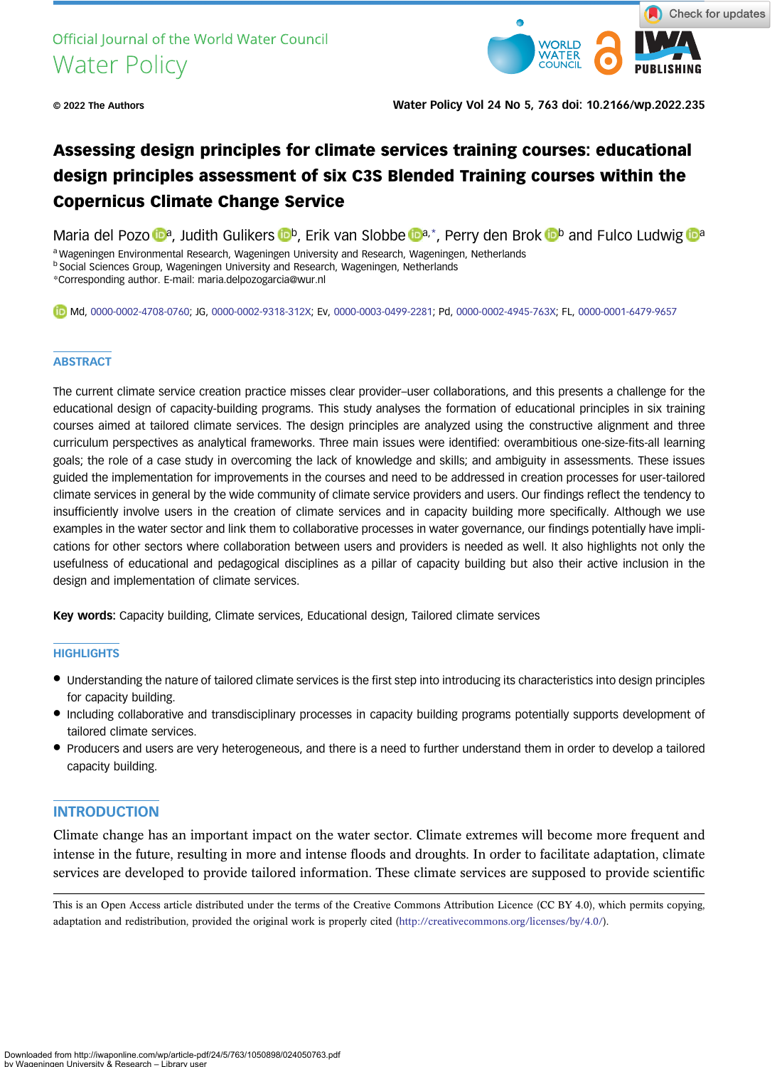

© 2022 The Authors Water Policy Vol 24 No 5, 763 doi: 10.2166/wp.2022.235

# Assessing design principles for climate services training courses: educational design principles assessment of six C3S Blended Training courses within the Copernicus Climate Change Service

M[a](https://orcid.org/0000-0002-4708-0760)ria del Pozo **[b](https://orcid.org/0000-0002-4945-763X)a**, Judith Gulikers **b**, Erik van Slobbe **ba**,\*, Perry den Brok b and Fulco Ludwig **b** a

a Wageningen Environmental Research, Wageningen University and Research, Wageningen, Netherlands

**b Social Sciences Group, Wageningen University and Research, Wageningen, Netherlands** 

\*Corresponding author. E-mail: [maria.delpozogarcia@wur.nl](mailto:maria.delpozogarcia@wur.nl)

Md, [0000-0002-4708-0760;](http://orcid.org/0000-0002-4708-0760) JG, [0000-0002-9318-312X;](http://orcid.org/0000-0002-9318-312X) Ev, [0000-0003-0499-2281](http://orcid.org/0000-0003-0499-2281); Pd, [0000-0002-4945-763X](http://orcid.org/0000-0002-4945-763X); FL, [0000-0001-6479-9657](http://orcid.org/0000-0001-6479-9657)

#### **ABSTRACT**

The current climate service creation practice misses clear provider–user collaborations, and this presents a challenge for the educational design of capacity-building programs. This study analyses the formation of educational principles in six training courses aimed at tailored climate services. The design principles are analyzed using the constructive alignment and three curriculum perspectives as analytical frameworks. Three main issues were identified: overambitious one-size-fits-all learning goals; the role of a case study in overcoming the lack of knowledge and skills; and ambiguity in assessments. These issues guided the implementation for improvements in the courses and need to be addressed in creation processes for user-tailored climate services in general by the wide community of climate service providers and users. Our findings reflect the tendency to insufficiently involve users in the creation of climate services and in capacity building more specifically. Although we use examples in the water sector and link them to collaborative processes in water governance, our findings potentially have implications for other sectors where collaboration between users and providers is needed as well. It also highlights not only the usefulness of educational and pedagogical disciplines as a pillar of capacity building but also their active inclusion in the design and implementation of climate services.

Key words: Capacity building, Climate services, Educational design, Tailored climate services

### **HIGHLIGHTS**

- Understanding the nature of tailored climate services is the first step into introducing its characteristics into design principles for capacity building.
- Including collaborative and transdisciplinary processes in capacity building programs potentially supports development of tailored climate services.
- Producers and users are very heterogeneous, and there is a need to further understand them in order to develop a tailored capacity building.

# INTRODUCTION

Climate change has an important impact on the water sector. Climate extremes will become more frequent and intense in the future, resulting in more and intense floods and droughts. In order to facilitate adaptation, climate services are developed to provide tailored information. These climate services are supposed to provide scientific

This is an Open Access article distributed under the terms of the Creative Commons Attribution Licence (CC BY 4.0), which permits copying, adaptation and redistribution, provided the original work is properly cited ([http://creativecommons.org/licenses/by/4.0/\)](http://creativecommons.org/licenses/by/4.0/).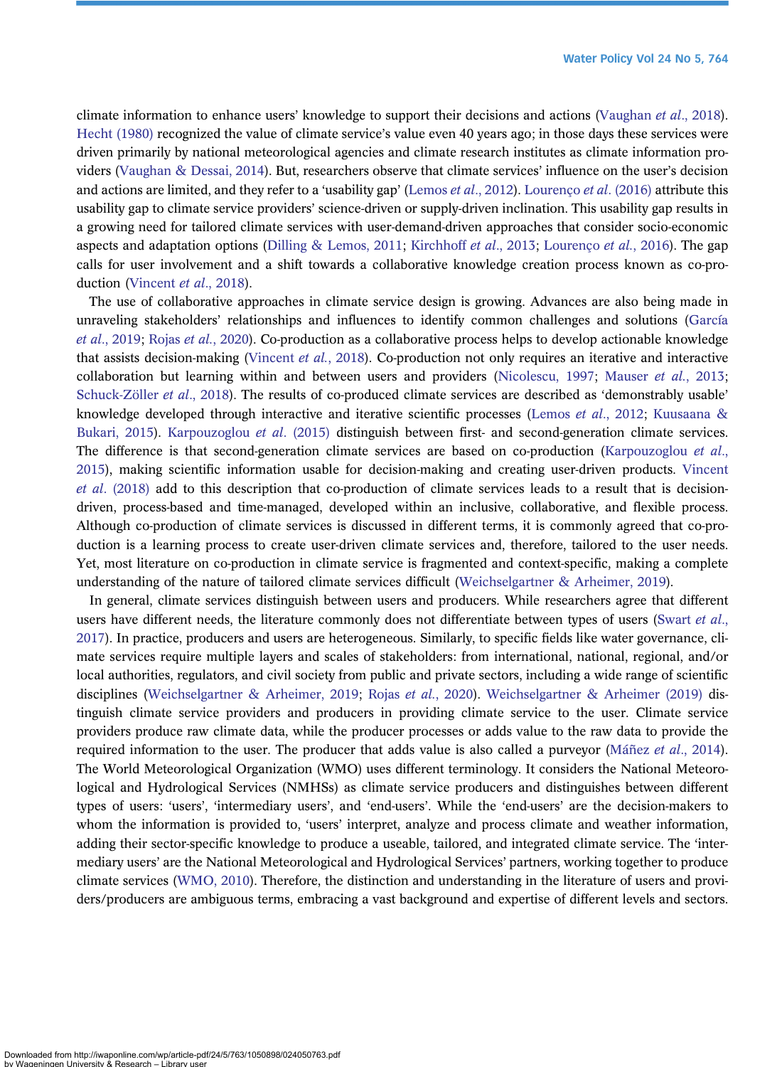climate information to enhance users' knowledge to support their decisions and actions [\(Vaughan](#page-14-0) et al., 2018). [Hecht \(1980\)](#page-13-0) recognized the value of climate service's value even 40 years ago; in those days these services were driven primarily by national meteorological agencies and climate research institutes as climate information providers [\(Vaughan & Dessai, 2014](#page-14-0)). But, researchers observe that climate services' influence on the user's decision and actions are limited, and they refer to a 'usability gap' [\(Lemos](#page-13-0) et al., 2012). Lourenco et al. (2016) attribute this usability gap to climate service providers' science-driven or supply-driven inclination. This usability gap results in a growing need for tailored climate services with user-demand-driven approaches that consider socio-economic aspects and adaptation options ([Dilling & Lemos, 2011](#page-13-0); [Kirchhoff](#page-13-0) et al., 2013; [Lourenço](#page-13-0) et al., 2016). The gap calls for user involvement and a shift towards a collaborative knowledge creation process known as co-pro-duction [\(Vincent](#page-14-0) et al., 2018).

The use of collaborative approaches in climate service design is growing. Advances are also being made in unraveling stakeholders' relationships and influences to identify common challenges and solutions ([García](#page-13-0) et al[., 2019](#page-13-0); Rojas et al.[, 2020](#page-14-0)). Co-production as a collaborative process helps to develop actionable knowledge that assists decision-making ([Vincent](#page-14-0) et al., 2018). Co-production not only requires an iterative and interactive collaboration but learning within and between users and providers ([Nicolescu, 1997;](#page-13-0) [Mauser](#page-13-0) et al., 2013; [Schuck-Zöller](#page-14-0) et al., 2018). The results of co-produced climate services are described as 'demonstrably usable' knowledge developed through interactive and iterative scientific processes (Lemos et al[., 2012](#page-13-0); [Kuusaana &](#page-13-0) [Bukari, 2015](#page-13-0)). [Karpouzoglou](#page-13-0) et al. (2015) distinguish between first- and second-generation climate services. The difference is that second-generation climate services are based on co-production [\(Karpouzoglou](#page-13-0) *et al.*, [2015](#page-13-0)), making scientific information usable for decision-making and creating user-driven products. [Vincent](#page-14-0) et al[. \(2018\)](#page-14-0) add to this description that co-production of climate services leads to a result that is decisiondriven, process-based and time-managed, developed within an inclusive, collaborative, and flexible process. Although co-production of climate services is discussed in different terms, it is commonly agreed that co-production is a learning process to create user-driven climate services and, therefore, tailored to the user needs. Yet, most literature on co-production in climate service is fragmented and context-specific, making a complete understanding of the nature of tailored climate services difficult ([Weichselgartner & Arheimer, 2019\)](#page-14-0).

In general, climate services distinguish between users and producers. While researchers agree that different users have different needs, the literature commonly does not differentiate between types of users ([Swart](#page-14-0) et al., [2017](#page-14-0)). In practice, producers and users are heterogeneous. Similarly, to specific fields like water governance, climate services require multiple layers and scales of stakeholders: from international, national, regional, and/or local authorities, regulators, and civil society from public and private sectors, including a wide range of scientific disciplines ([Weichselgartner & Arheimer, 2019;](#page-14-0) Rojas et al.[, 2020](#page-14-0)). [Weichselgartner & Arheimer \(2019\)](#page-14-0) distinguish climate service providers and producers in providing climate service to the user. Climate service providers produce raw climate data, while the producer processes or adds value to the raw data to provide the required information to the user. The producer that adds value is also called a purveyor (Máñez *et al.*, 2014). The World Meteorological Organization (WMO) uses different terminology. It considers the National Meteorological and Hydrological Services (NMHSs) as climate service producers and distinguishes between different types of users: 'users', 'intermediary users', and 'end-users'. While the 'end-users' are the decision-makers to whom the information is provided to, 'users' interpret, analyze and process climate and weather information, adding their sector-specific knowledge to produce a useable, tailored, and integrated climate service. The 'intermediary users' are the National Meteorological and Hydrological Services' partners, working together to produce climate services [\(WMO, 2010\)](#page-14-0). Therefore, the distinction and understanding in the literature of users and providers/producers are ambiguous terms, embracing a vast background and expertise of different levels and sectors.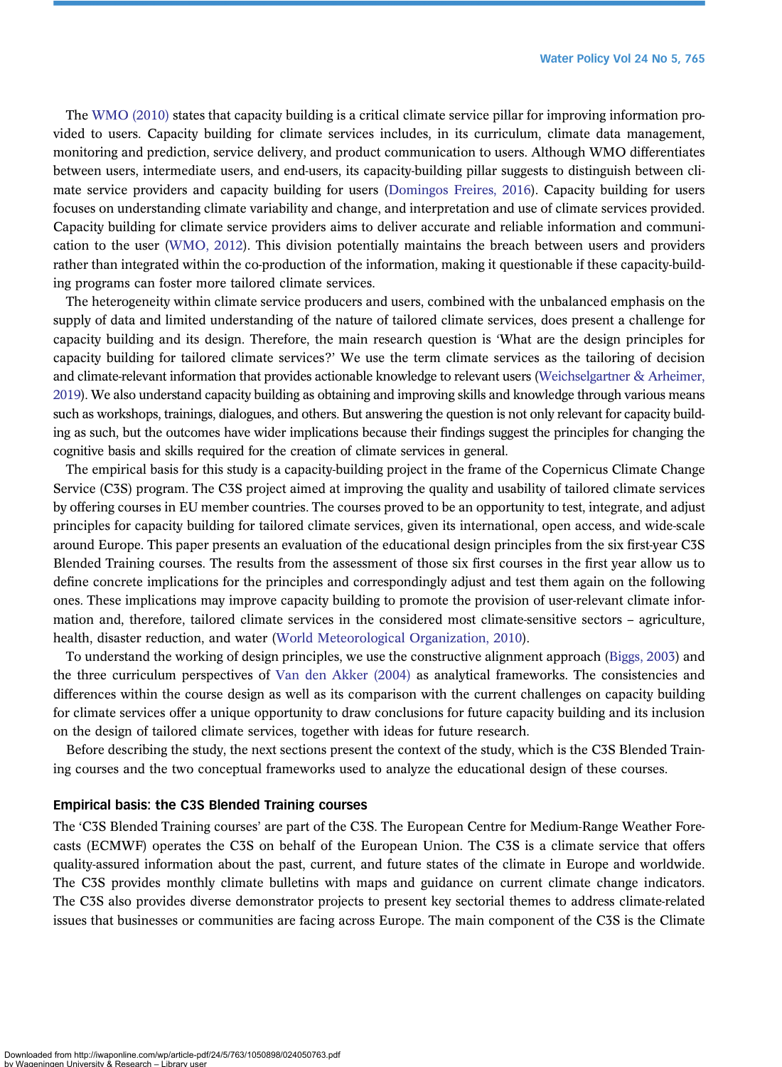The [WMO \(2010\)](#page-14-0) states that capacity building is a critical climate service pillar for improving information provided to users. Capacity building for climate services includes, in its curriculum, climate data management, monitoring and prediction, service delivery, and product communication to users. Although WMO differentiates between users, intermediate users, and end-users, its capacity-building pillar suggests to distinguish between climate service providers and capacity building for users [\(Domingos Freires, 2016\)](#page-13-0). Capacity building for users focuses on understanding climate variability and change, and interpretation and use of climate services provided. Capacity building for climate service providers aims to deliver accurate and reliable information and communication to the user ([WMO, 2012](#page-14-0)). This division potentially maintains the breach between users and providers rather than integrated within the co-production of the information, making it questionable if these capacity-building programs can foster more tailored climate services.

The heterogeneity within climate service producers and users, combined with the unbalanced emphasis on the supply of data and limited understanding of the nature of tailored climate services, does present a challenge for capacity building and its design. Therefore, the main research question is 'What are the design principles for capacity building for tailored climate services?' We use the term climate services as the tailoring of decision and climate-relevant information that provides actionable knowledge to relevant users [\(Weichselgartner & Arheimer,](#page-14-0) [2019](#page-14-0)). We also understand capacity building as obtaining and improving skills and knowledge through various means such as workshops, trainings, dialogues, and others. But answering the question is not only relevant for capacity building as such, but the outcomes have wider implications because their findings suggest the principles for changing the cognitive basis and skills required for the creation of climate services in general.

The empirical basis for this study is a capacity-building project in the frame of the Copernicus Climate Change Service (C3S) program. The C3S project aimed at improving the quality and usability of tailored climate services by offering courses in EU member countries. The courses proved to be an opportunity to test, integrate, and adjust principles for capacity building for tailored climate services, given its international, open access, and wide-scale around Europe. This paper presents an evaluation of the educational design principles from the six first-year C3S Blended Training courses. The results from the assessment of those six first courses in the first year allow us to define concrete implications for the principles and correspondingly adjust and test them again on the following ones. These implications may improve capacity building to promote the provision of user-relevant climate information and, therefore, tailored climate services in the considered most climate-sensitive sectors – agriculture, health, disaster reduction, and water [\(World Meteorological Organization, 2010\)](#page-14-0).

To understand the working of design principles, we use the constructive alignment approach [\(Biggs, 2003](#page-13-0)) and the three curriculum perspectives of [Van den Akker \(2004\)](#page-14-0) as analytical frameworks. The consistencies and differences within the course design as well as its comparison with the current challenges on capacity building for climate services offer a unique opportunity to draw conclusions for future capacity building and its inclusion on the design of tailored climate services, together with ideas for future research.

Before describing the study, the next sections present the context of the study, which is the C3S Blended Training courses and the two conceptual frameworks used to analyze the educational design of these courses.

#### Empirical basis: the C3S Blended Training courses

The 'C3S Blended Training courses' are part of the C3S. The European Centre for Medium-Range Weather Forecasts (ECMWF) operates the C3S on behalf of the European Union. The C3S is a climate service that offers quality-assured information about the past, current, and future states of the climate in Europe and worldwide. The C3S provides monthly climate bulletins with maps and guidance on current climate change indicators. The C3S also provides diverse demonstrator projects to present key sectorial themes to address climate-related issues that businesses or communities are facing across Europe. The main component of the C3S is the Climate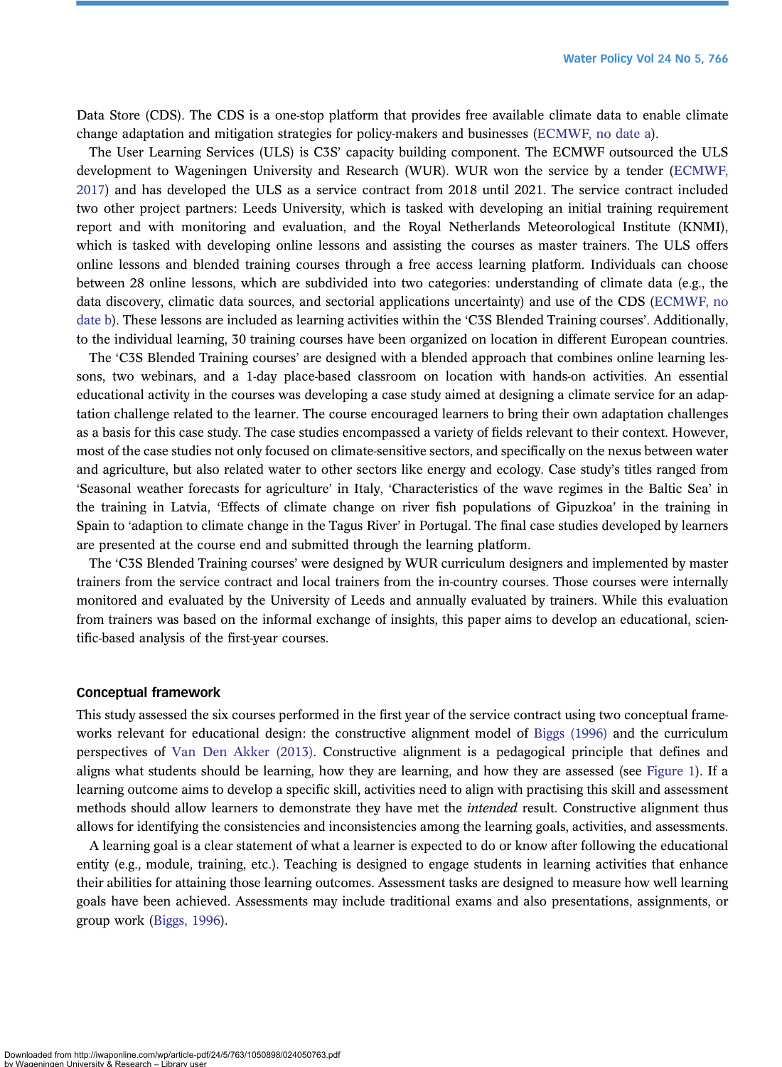Data Store (CDS). The CDS is a one-stop platform that provides free available climate data to enable climate change adaptation and mitigation strategies for policy-makers and businesses [\(ECMWF, no date a](#page-13-0)).

The User Learning Services (ULS) is C3S' capacity building component. The ECMWF outsourced the ULS development to Wageningen University and Research (WUR). WUR won the service by a tender [\(ECMWF,](#page-13-0) [2017](#page-13-0)) and has developed the ULS as a service contract from 2018 until 2021. The service contract included two other project partners: Leeds University, which is tasked with developing an initial training requirement report and with monitoring and evaluation, and the Royal Netherlands Meteorological Institute (KNMI), which is tasked with developing online lessons and assisting the courses as master trainers. The ULS offers online lessons and blended training courses through a free access learning platform. Individuals can choose between 28 online lessons, which are subdivided into two categories: understanding of climate data (e.g., the data discovery, climatic data sources, and sectorial applications uncertainty) and use of the CDS ([ECMWF, no](#page-13-0) [date b\)](#page-13-0). These lessons are included as learning activities within the 'C3S Blended Training courses'. Additionally, to the individual learning, 30 training courses have been organized on location in different European countries.

The 'C3S Blended Training courses' are designed with a blended approach that combines online learning lessons, two webinars, and a 1-day place-based classroom on location with hands-on activities. An essential educational activity in the courses was developing a case study aimed at designing a climate service for an adaptation challenge related to the learner. The course encouraged learners to bring their own adaptation challenges as a basis for this case study. The case studies encompassed a variety of fields relevant to their context. However, most of the case studies not only focused on climate-sensitive sectors, and specifically on the nexus between water and agriculture, but also related water to other sectors like energy and ecology. Case study's titles ranged from 'Seasonal weather forecasts for agriculture' in Italy, 'Characteristics of the wave regimes in the Baltic Sea' in the training in Latvia, 'Effects of climate change on river fish populations of Gipuzkoa' in the training in Spain to 'adaption to climate change in the Tagus River' in Portugal. The final case studies developed by learners are presented at the course end and submitted through the learning platform.

The 'C3S Blended Training courses' were designed by WUR curriculum designers and implemented by master trainers from the service contract and local trainers from the in-country courses. Those courses were internally monitored and evaluated by the University of Leeds and annually evaluated by trainers. While this evaluation from trainers was based on the informal exchange of insights, this paper aims to develop an educational, scientific-based analysis of the first-year courses.

#### Conceptual framework

This study assessed the six courses performed in the first year of the service contract using two conceptual frameworks relevant for educational design: the constructive alignment model of [Biggs \(1996\)](#page-13-0) and the curriculum perspectives of [Van Den Akker \(2013\)](#page-14-0). Constructive alignment is a pedagogical principle that defines and aligns what students should be learning, how they are learning, and how they are assessed (see [Figure 1](#page-4-0)). If a learning outcome aims to develop a specific skill, activities need to align with practising this skill and assessment methods should allow learners to demonstrate they have met the *intended* result. Constructive alignment thus allows for identifying the consistencies and inconsistencies among the learning goals, activities, and assessments.

A learning goal is a clear statement of what a learner is expected to do or know after following the educational entity (e.g., module, training, etc.). Teaching is designed to engage students in learning activities that enhance their abilities for attaining those learning outcomes. Assessment tasks are designed to measure how well learning goals have been achieved. Assessments may include traditional exams and also presentations, assignments, or group work ([Biggs, 1996](#page-13-0)).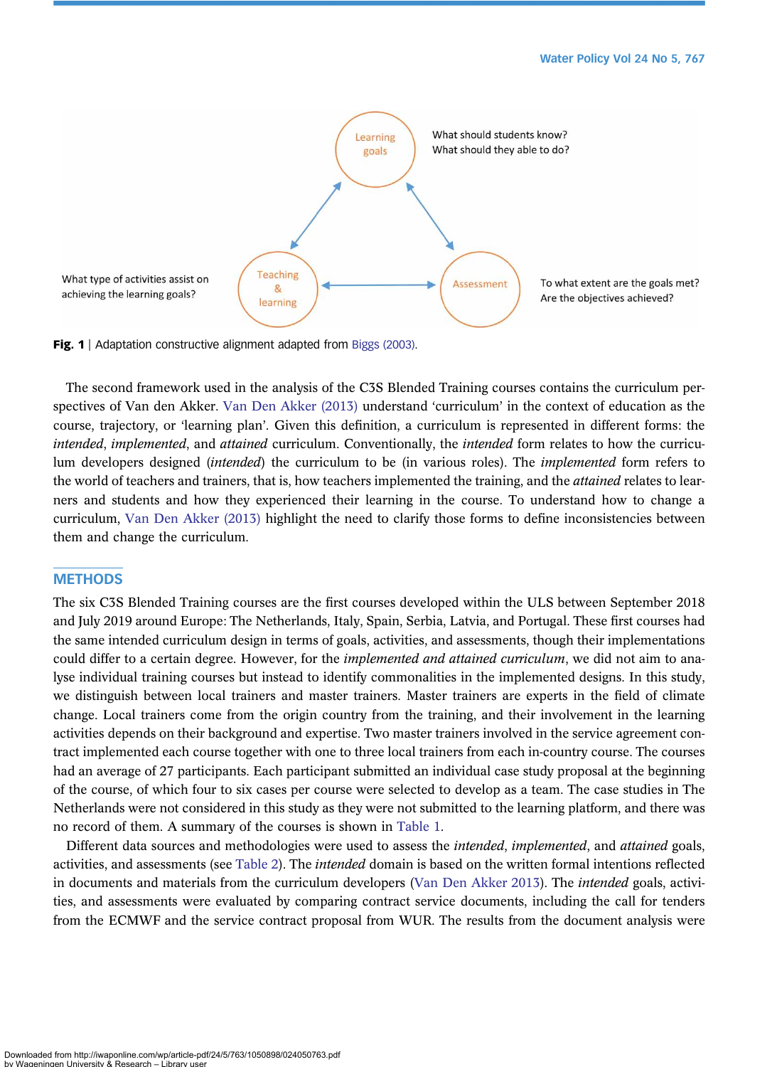<span id="page-4-0"></span>

Fig. 1 | Adaptation constructive alignment adapted from [Biggs \(2003\).](#page-13-0)

The second framework used in the analysis of the C3S Blended Training courses contains the curriculum perspectives of Van den Akker. [Van Den Akker \(2013\)](#page-14-0) understand 'curriculum' in the context of education as the course, trajectory, or 'learning plan'. Given this definition, a curriculum is represented in different forms: the intended, implemented, and attained curriculum. Conventionally, the intended form relates to how the curriculum developers designed (intended) the curriculum to be (in various roles). The implemented form refers to the world of teachers and trainers, that is, how teachers implemented the training, and the *attained* relates to learners and students and how they experienced their learning in the course. To understand how to change a curriculum, [Van Den Akker \(2013\)](#page-14-0) highlight the need to clarify those forms to define inconsistencies between them and change the curriculum.

#### **METHODS**

The six C3S Blended Training courses are the first courses developed within the ULS between September 2018 and July 2019 around Europe: The Netherlands, Italy, Spain, Serbia, Latvia, and Portugal. These first courses had the same intended curriculum design in terms of goals, activities, and assessments, though their implementations could differ to a certain degree. However, for the *implemented and attained curriculum*, we did not aim to analyse individual training courses but instead to identify commonalities in the implemented designs. In this study, we distinguish between local trainers and master trainers. Master trainers are experts in the field of climate change. Local trainers come from the origin country from the training, and their involvement in the learning activities depends on their background and expertise. Two master trainers involved in the service agreement contract implemented each course together with one to three local trainers from each in-country course. The courses had an average of 27 participants. Each participant submitted an individual case study proposal at the beginning of the course, of which four to six cases per course were selected to develop as a team. The case studies in The Netherlands were not considered in this study as they were not submitted to the learning platform, and there was no record of them. A summary of the courses is shown in [Table 1.](#page-5-0)

Different data sources and methodologies were used to assess the intended, implemented, and attained goals, activities, and assessments (see [Table 2\)](#page-5-0). The intended domain is based on the written formal intentions reflected in documents and materials from the curriculum developers [\(Van Den Akker 2013](#page-14-0)). The intended goals, activities, and assessments were evaluated by comparing contract service documents, including the call for tenders from the ECMWF and the service contract proposal from WUR. The results from the document analysis were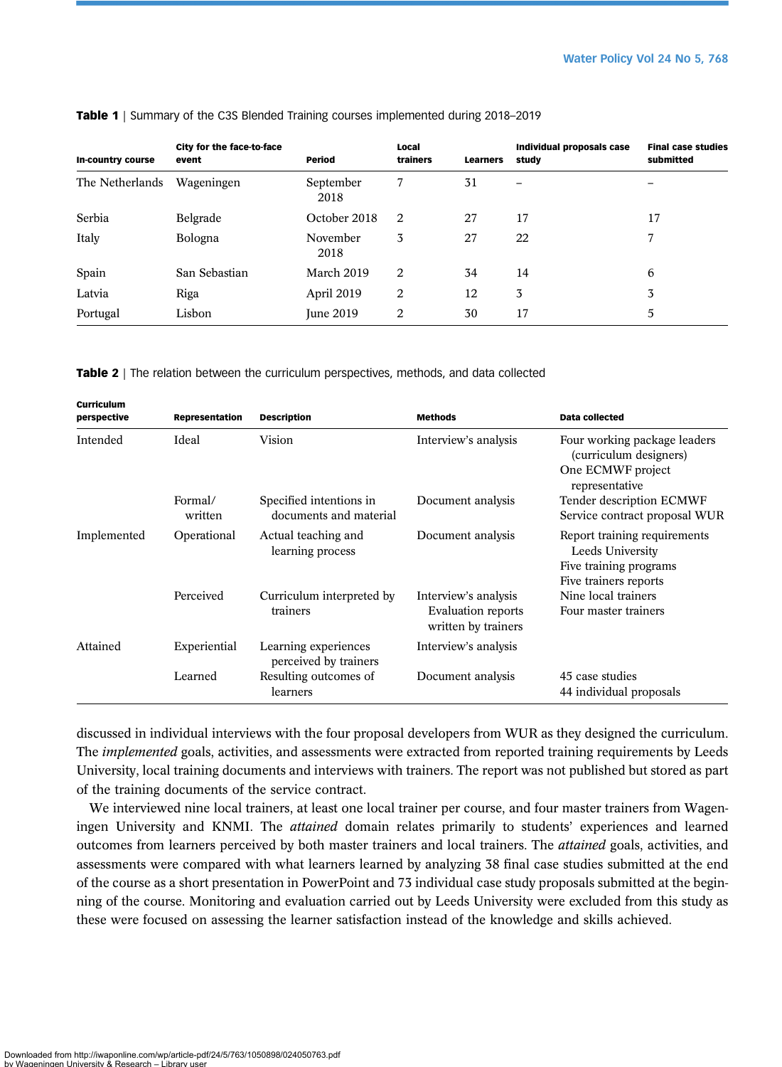| In-country course | City for the face-to-face<br>event | Period            | Local<br>trainers | <b>Learners</b> | Individual proposals case<br>studv | <b>Final case studies</b><br>submitted |
|-------------------|------------------------------------|-------------------|-------------------|-----------------|------------------------------------|----------------------------------------|
| The Netherlands   | Wageningen                         | September<br>2018 | 7                 | 31              | -                                  |                                        |
| Serbia            | Belgrade                           | October 2018      | 2                 | 27              | 17                                 | 17                                     |
| Italy             | Bologna                            | November<br>2018  | 3                 | 27              | 22                                 | 7                                      |
| Spain             | San Sebastian                      | March 2019        | 2                 | 34              | 14                                 | 6                                      |
| Latvia            | Riga                               | April 2019        | 2                 | 12              | 3                                  | 3                                      |
| Portugal          | Lisbon                             | <b>June 2019</b>  | 2                 | 30              | 17                                 | 5                                      |

<span id="page-5-0"></span>Table 1 | Summary of the C3S Blended Training courses implemented during 2018–2019

Table 2 | The relation between the curriculum perspectives, methods, and data collected

| Curriculum<br>perspective | Representation     | <b>Description</b>                                | <b>Methods</b>                                                    | Data collected                                                                                      |
|---------------------------|--------------------|---------------------------------------------------|-------------------------------------------------------------------|-----------------------------------------------------------------------------------------------------|
| Intended                  | Ideal              | Vision                                            | Interview's analysis                                              | Four working package leaders<br>(curriculum designers)<br>One ECMWF project                         |
|                           |                    |                                                   |                                                                   | representative                                                                                      |
|                           | Formal/<br>written | Specified intentions in<br>documents and material | Document analysis                                                 | Tender description ECMWF<br>Service contract proposal WUR                                           |
| Implemented               | Operational        | Actual teaching and<br>learning process           | Document analysis                                                 | Report training requirements<br>Leeds University<br>Five training programs<br>Five trainers reports |
|                           | Perceived          | Curriculum interpreted by<br>trainers             | Interview's analysis<br>Evaluation reports<br>written by trainers | Nine local trainers<br>Four master trainers                                                         |
| Attained                  | Experiential       | Learning experiences<br>perceived by trainers     | Interview's analysis                                              |                                                                                                     |
|                           | Learned            | Resulting outcomes of<br>learners                 | Document analysis                                                 | 45 case studies<br>44 individual proposals                                                          |

discussed in individual interviews with the four proposal developers from WUR as they designed the curriculum. The *implemented* goals, activities, and assessments were extracted from reported training requirements by Leeds University, local training documents and interviews with trainers. The report was not published but stored as part of the training documents of the service contract.

We interviewed nine local trainers, at least one local trainer per course, and four master trainers from Wageningen University and KNMI. The *attained* domain relates primarily to students' experiences and learned outcomes from learners perceived by both master trainers and local trainers. The attained goals, activities, and assessments were compared with what learners learned by analyzing 38 final case studies submitted at the end of the course as a short presentation in PowerPoint and 73 individual case study proposals submitted at the beginning of the course. Monitoring and evaluation carried out by Leeds University were excluded from this study as these were focused on assessing the learner satisfaction instead of the knowledge and skills achieved.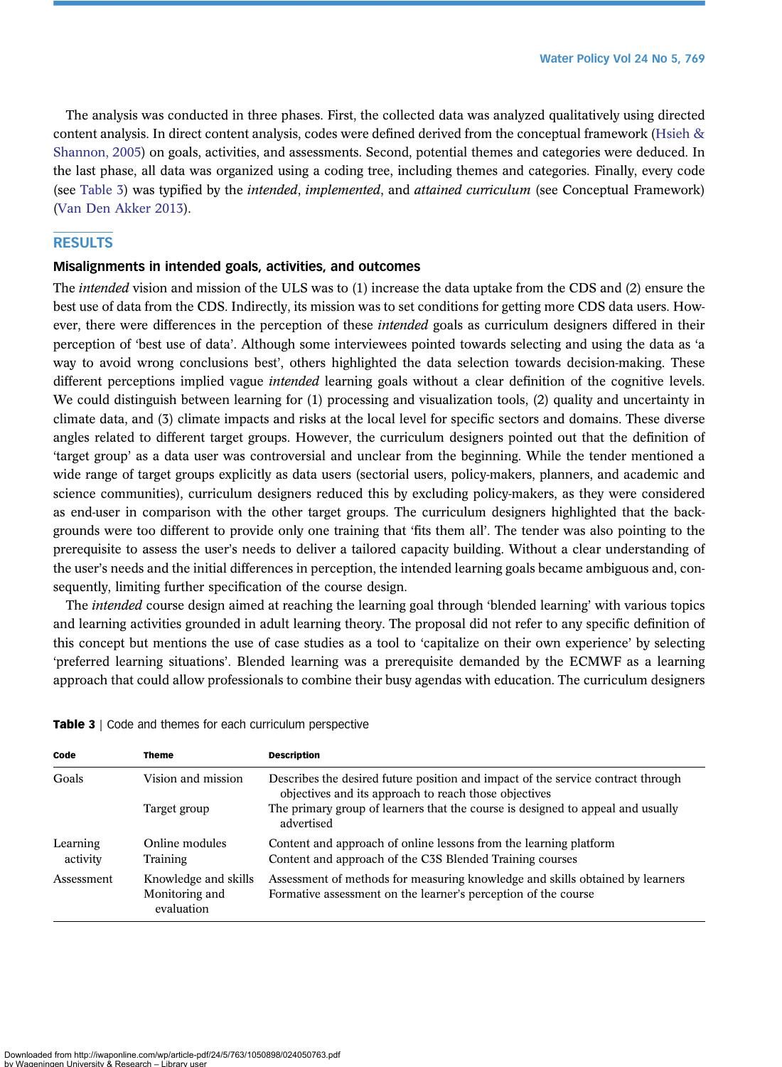The analysis was conducted in three phases. First, the collected data was analyzed qualitatively using directed content analysis. In direct content analysis, codes were defined derived from the conceptual framework [\(Hsieh &](#page-13-0) [Shannon, 2005](#page-13-0)) on goals, activities, and assessments. Second, potential themes and categories were deduced. In the last phase, all data was organized using a coding tree, including themes and categories. Finally, every code (see Table 3) was typified by the *intended, implemented, and attained curriculum* (see Conceptual Framework) [\(Van Den Akker 2013\)](#page-14-0).

# **RESULTS**

### Misalignments in intended goals, activities, and outcomes

The intended vision and mission of the ULS was to (1) increase the data uptake from the CDS and (2) ensure the best use of data from the CDS. Indirectly, its mission was to set conditions for getting more CDS data users. However, there were differences in the perception of these *intended* goals as curriculum designers differed in their perception of 'best use of data'. Although some interviewees pointed towards selecting and using the data as 'a way to avoid wrong conclusions best', others highlighted the data selection towards decision-making. These different perceptions implied vague *intended* learning goals without a clear definition of the cognitive levels. We could distinguish between learning for (1) processing and visualization tools, (2) quality and uncertainty in climate data, and (3) climate impacts and risks at the local level for specific sectors and domains. These diverse angles related to different target groups. However, the curriculum designers pointed out that the definition of 'target group' as a data user was controversial and unclear from the beginning. While the tender mentioned a wide range of target groups explicitly as data users (sectorial users, policy-makers, planners, and academic and science communities), curriculum designers reduced this by excluding policy-makers, as they were considered as end-user in comparison with the other target groups. The curriculum designers highlighted that the backgrounds were too different to provide only one training that 'fits them all'. The tender was also pointing to the prerequisite to assess the user's needs to deliver a tailored capacity building. Without a clear understanding of the user's needs and the initial differences in perception, the intended learning goals became ambiguous and, consequently, limiting further specification of the course design.

The *intended* course design aimed at reaching the learning goal through 'blended learning' with various topics and learning activities grounded in adult learning theory. The proposal did not refer to any specific definition of this concept but mentions the use of case studies as a tool to 'capitalize on their own experience' by selecting 'preferred learning situations'. Blended learning was a prerequisite demanded by the ECMWF as a learning approach that could allow professionals to combine their busy agendas with education. The curriculum designers

|  |  |  |  |  |  |  |  |  | <b>Table 3</b>   Code and themes for each curriculum perspective |  |
|--|--|--|--|--|--|--|--|--|------------------------------------------------------------------|--|
|--|--|--|--|--|--|--|--|--|------------------------------------------------------------------|--|

| Code                 | <b>Theme</b>                                         | <b>Description</b>                                                                                                                              |  |  |
|----------------------|------------------------------------------------------|-------------------------------------------------------------------------------------------------------------------------------------------------|--|--|
| Goals                | Vision and mission                                   | Describes the desired future position and impact of the service contract through<br>objectives and its approach to reach those objectives       |  |  |
|                      | Target group                                         | The primary group of learners that the course is designed to appeal and usually<br>advertised                                                   |  |  |
| Learning<br>activity | Online modules<br>Training                           | Content and approach of online lessons from the learning platform<br>Content and approach of the C3S Blended Training courses                   |  |  |
| Assessment           | Knowledge and skills<br>Monitoring and<br>evaluation | Assessment of methods for measuring knowledge and skills obtained by learners<br>Formative assessment on the learner's perception of the course |  |  |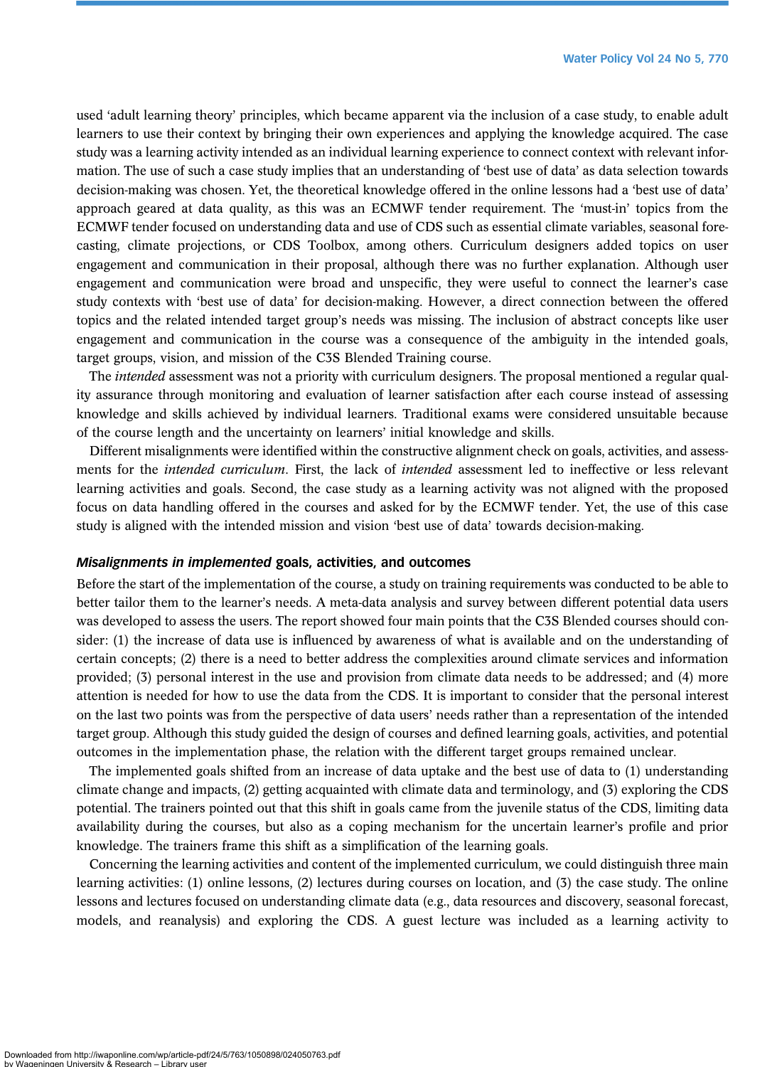used 'adult learning theory' principles, which became apparent via the inclusion of a case study, to enable adult learners to use their context by bringing their own experiences and applying the knowledge acquired. The case study was a learning activity intended as an individual learning experience to connect context with relevant information. The use of such a case study implies that an understanding of 'best use of data' as data selection towards decision-making was chosen. Yet, the theoretical knowledge offered in the online lessons had a 'best use of data' approach geared at data quality, as this was an ECMWF tender requirement. The 'must-in' topics from the ECMWF tender focused on understanding data and use of CDS such as essential climate variables, seasonal forecasting, climate projections, or CDS Toolbox, among others. Curriculum designers added topics on user engagement and communication in their proposal, although there was no further explanation. Although user engagement and communication were broad and unspecific, they were useful to connect the learner's case study contexts with 'best use of data' for decision-making. However, a direct connection between the offered topics and the related intended target group's needs was missing. The inclusion of abstract concepts like user engagement and communication in the course was a consequence of the ambiguity in the intended goals, target groups, vision, and mission of the C3S Blended Training course.

The *intended* assessment was not a priority with curriculum designers. The proposal mentioned a regular quality assurance through monitoring and evaluation of learner satisfaction after each course instead of assessing knowledge and skills achieved by individual learners. Traditional exams were considered unsuitable because of the course length and the uncertainty on learners' initial knowledge and skills.

Different misalignments were identified within the constructive alignment check on goals, activities, and assessments for the intended curriculum. First, the lack of intended assessment led to ineffective or less relevant learning activities and goals. Second, the case study as a learning activity was not aligned with the proposed focus on data handling offered in the courses and asked for by the ECMWF tender. Yet, the use of this case study is aligned with the intended mission and vision 'best use of data' towards decision-making.

#### Misalignments in implemented goals, activities, and outcomes

Before the start of the implementation of the course, a study on training requirements was conducted to be able to better tailor them to the learner's needs. A meta-data analysis and survey between different potential data users was developed to assess the users. The report showed four main points that the C3S Blended courses should consider: (1) the increase of data use is influenced by awareness of what is available and on the understanding of certain concepts; (2) there is a need to better address the complexities around climate services and information provided; (3) personal interest in the use and provision from climate data needs to be addressed; and (4) more attention is needed for how to use the data from the CDS. It is important to consider that the personal interest on the last two points was from the perspective of data users' needs rather than a representation of the intended target group. Although this study guided the design of courses and defined learning goals, activities, and potential outcomes in the implementation phase, the relation with the different target groups remained unclear.

The implemented goals shifted from an increase of data uptake and the best use of data to (1) understanding climate change and impacts, (2) getting acquainted with climate data and terminology, and (3) exploring the CDS potential. The trainers pointed out that this shift in goals came from the juvenile status of the CDS, limiting data availability during the courses, but also as a coping mechanism for the uncertain learner's profile and prior knowledge. The trainers frame this shift as a simplification of the learning goals.

Concerning the learning activities and content of the implemented curriculum, we could distinguish three main learning activities: (1) online lessons, (2) lectures during courses on location, and (3) the case study. The online lessons and lectures focused on understanding climate data (e.g., data resources and discovery, seasonal forecast, models, and reanalysis) and exploring the CDS. A guest lecture was included as a learning activity to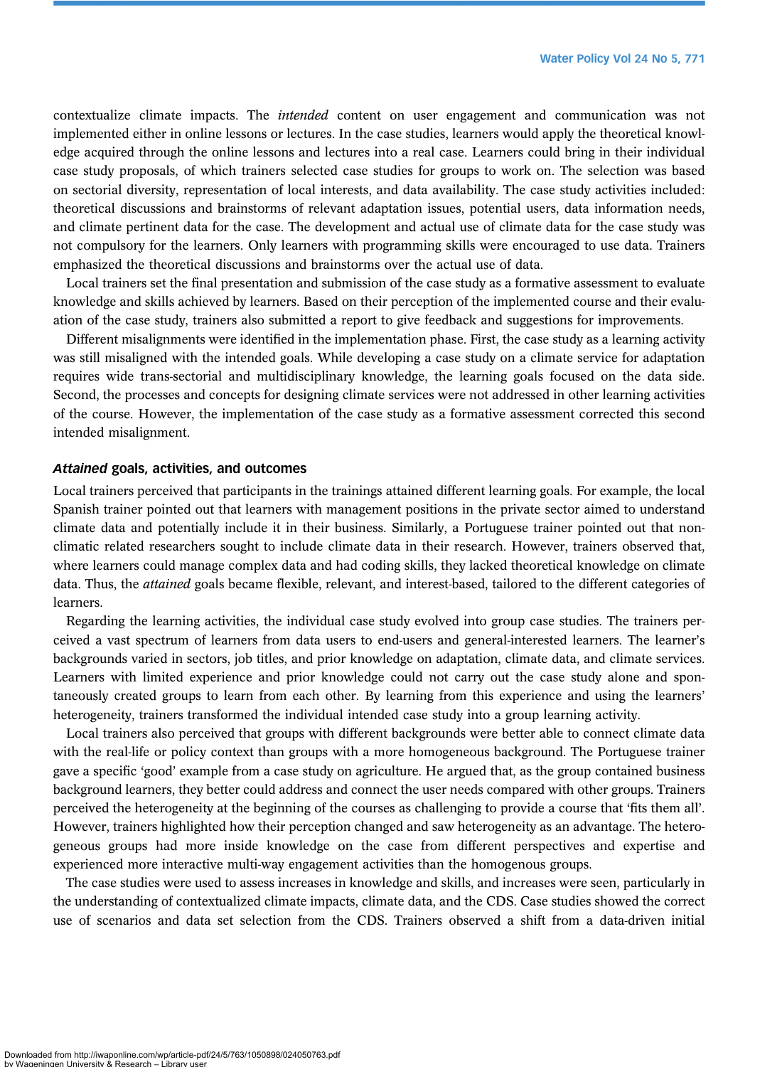contextualize climate impacts. The intended content on user engagement and communication was not implemented either in online lessons or lectures. In the case studies, learners would apply the theoretical knowledge acquired through the online lessons and lectures into a real case. Learners could bring in their individual case study proposals, of which trainers selected case studies for groups to work on. The selection was based on sectorial diversity, representation of local interests, and data availability. The case study activities included: theoretical discussions and brainstorms of relevant adaptation issues, potential users, data information needs, and climate pertinent data for the case. The development and actual use of climate data for the case study was not compulsory for the learners. Only learners with programming skills were encouraged to use data. Trainers emphasized the theoretical discussions and brainstorms over the actual use of data.

Local trainers set the final presentation and submission of the case study as a formative assessment to evaluate knowledge and skills achieved by learners. Based on their perception of the implemented course and their evaluation of the case study, trainers also submitted a report to give feedback and suggestions for improvements.

Different misalignments were identified in the implementation phase. First, the case study as a learning activity was still misaligned with the intended goals. While developing a case study on a climate service for adaptation requires wide trans-sectorial and multidisciplinary knowledge, the learning goals focused on the data side. Second, the processes and concepts for designing climate services were not addressed in other learning activities of the course. However, the implementation of the case study as a formative assessment corrected this second intended misalignment.

#### Attained goals, activities, and outcomes

Local trainers perceived that participants in the trainings attained different learning goals. For example, the local Spanish trainer pointed out that learners with management positions in the private sector aimed to understand climate data and potentially include it in their business. Similarly, a Portuguese trainer pointed out that nonclimatic related researchers sought to include climate data in their research. However, trainers observed that, where learners could manage complex data and had coding skills, they lacked theoretical knowledge on climate data. Thus, the *attained* goals became flexible, relevant, and interest-based, tailored to the different categories of learners.

Regarding the learning activities, the individual case study evolved into group case studies. The trainers perceived a vast spectrum of learners from data users to end-users and general-interested learners. The learner's backgrounds varied in sectors, job titles, and prior knowledge on adaptation, climate data, and climate services. Learners with limited experience and prior knowledge could not carry out the case study alone and spontaneously created groups to learn from each other. By learning from this experience and using the learners' heterogeneity, trainers transformed the individual intended case study into a group learning activity.

Local trainers also perceived that groups with different backgrounds were better able to connect climate data with the real-life or policy context than groups with a more homogeneous background. The Portuguese trainer gave a specific 'good' example from a case study on agriculture. He argued that, as the group contained business background learners, they better could address and connect the user needs compared with other groups. Trainers perceived the heterogeneity at the beginning of the courses as challenging to provide a course that 'fits them all'. However, trainers highlighted how their perception changed and saw heterogeneity as an advantage. The heterogeneous groups had more inside knowledge on the case from different perspectives and expertise and experienced more interactive multi-way engagement activities than the homogenous groups.

The case studies were used to assess increases in knowledge and skills, and increases were seen, particularly in the understanding of contextualized climate impacts, climate data, and the CDS. Case studies showed the correct use of scenarios and data set selection from the CDS. Trainers observed a shift from a data-driven initial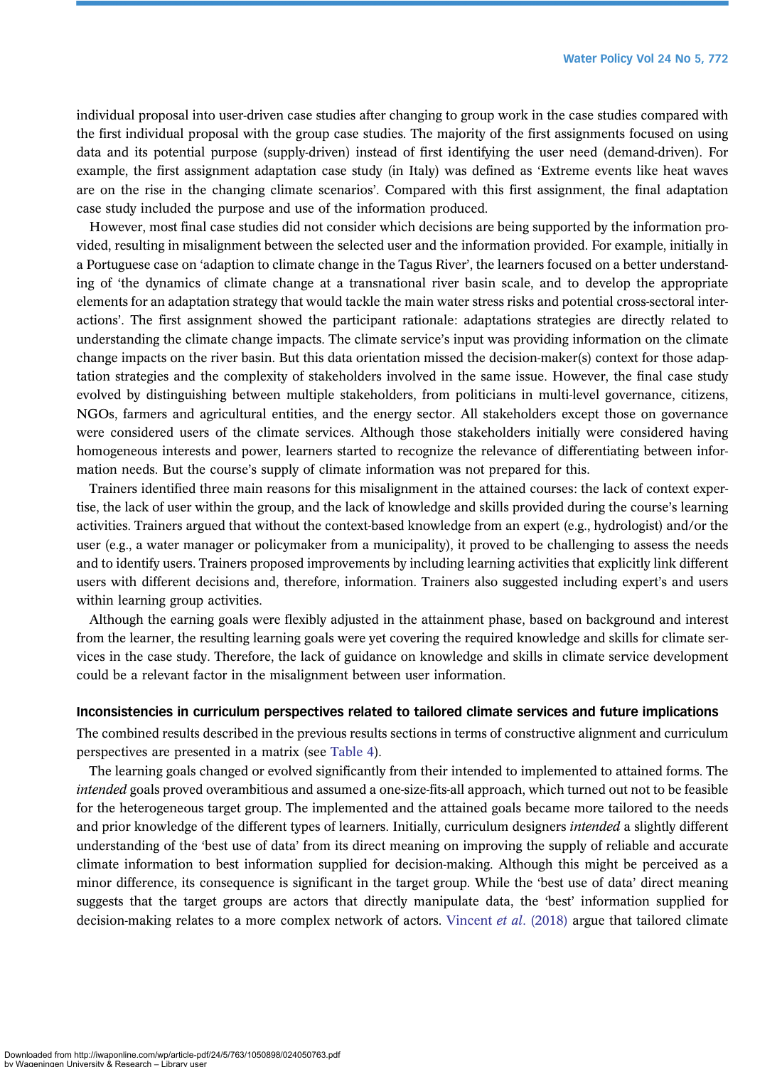individual proposal into user-driven case studies after changing to group work in the case studies compared with the first individual proposal with the group case studies. The majority of the first assignments focused on using data and its potential purpose (supply-driven) instead of first identifying the user need (demand-driven). For example, the first assignment adaptation case study (in Italy) was defined as 'Extreme events like heat waves are on the rise in the changing climate scenarios'. Compared with this first assignment, the final adaptation case study included the purpose and use of the information produced.

However, most final case studies did not consider which decisions are being supported by the information provided, resulting in misalignment between the selected user and the information provided. For example, initially in a Portuguese case on 'adaption to climate change in the Tagus River', the learners focused on a better understanding of 'the dynamics of climate change at a transnational river basin scale, and to develop the appropriate elements for an adaptation strategy that would tackle the main water stress risks and potential cross-sectoral interactions'. The first assignment showed the participant rationale: adaptations strategies are directly related to understanding the climate change impacts. The climate service's input was providing information on the climate change impacts on the river basin. But this data orientation missed the decision-maker(s) context for those adaptation strategies and the complexity of stakeholders involved in the same issue. However, the final case study evolved by distinguishing between multiple stakeholders, from politicians in multi-level governance, citizens, NGOs, farmers and agricultural entities, and the energy sector. All stakeholders except those on governance were considered users of the climate services. Although those stakeholders initially were considered having homogeneous interests and power, learners started to recognize the relevance of differentiating between information needs. But the course's supply of climate information was not prepared for this.

Trainers identified three main reasons for this misalignment in the attained courses: the lack of context expertise, the lack of user within the group, and the lack of knowledge and skills provided during the course's learning activities. Trainers argued that without the context-based knowledge from an expert (e.g., hydrologist) and/or the user (e.g., a water manager or policymaker from a municipality), it proved to be challenging to assess the needs and to identify users. Trainers proposed improvements by including learning activities that explicitly link different users with different decisions and, therefore, information. Trainers also suggested including expert's and users within learning group activities.

Although the earning goals were flexibly adjusted in the attainment phase, based on background and interest from the learner, the resulting learning goals were yet covering the required knowledge and skills for climate services in the case study. Therefore, the lack of guidance on knowledge and skills in climate service development could be a relevant factor in the misalignment between user information.

#### Inconsistencies in curriculum perspectives related to tailored climate services and future implications

The combined results described in the previous results sections in terms of constructive alignment and curriculum perspectives are presented in a matrix (see [Table 4\)](#page-10-0).

The learning goals changed or evolved significantly from their intended to implemented to attained forms. The intended goals proved overambitious and assumed a one-size-fits-all approach, which turned out not to be feasible for the heterogeneous target group. The implemented and the attained goals became more tailored to the needs and prior knowledge of the different types of learners. Initially, curriculum designers *intended* a slightly different understanding of the 'best use of data' from its direct meaning on improving the supply of reliable and accurate climate information to best information supplied for decision-making. Although this might be perceived as a minor difference, its consequence is significant in the target group. While the 'best use of data' direct meaning suggests that the target groups are actors that directly manipulate data, the 'best' information supplied for decision-making relates to a more complex network of actors. [Vincent](#page-14-0) et al. (2018) argue that tailored climate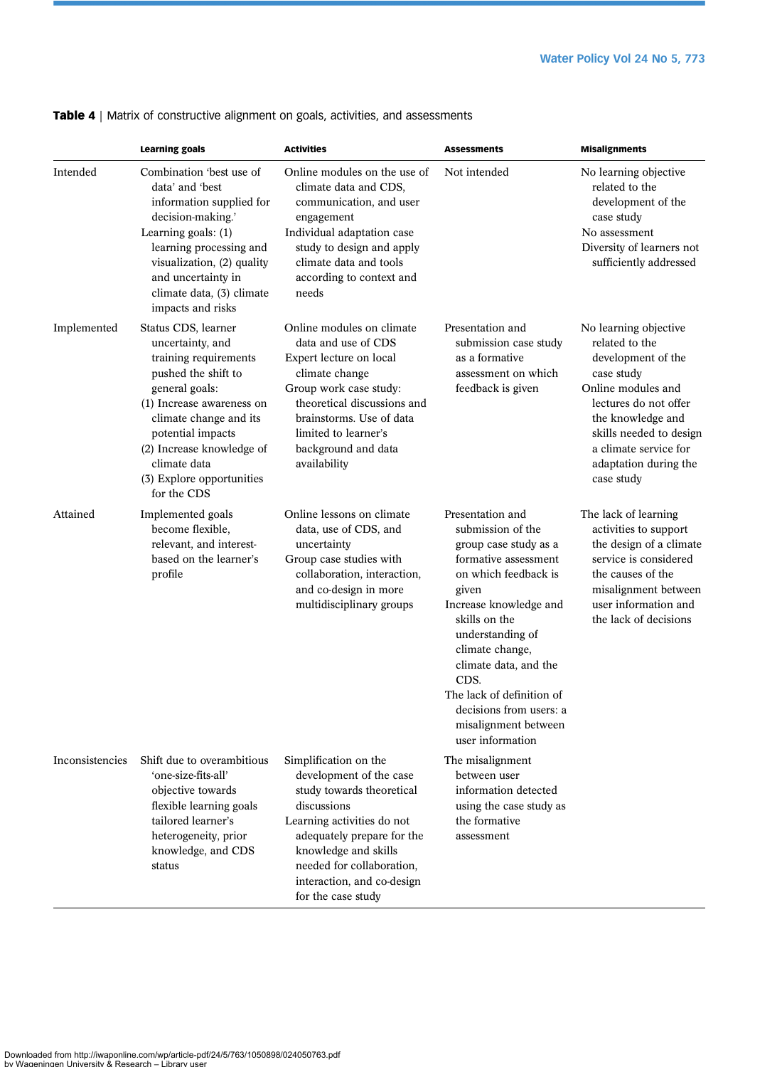|                 | <b>Learning goals</b>                                                                                                                                                                                                                                                          | <b>Activities</b>                                                                                                                                                                                                                                                 | <b>Assessments</b>                                                                                                                                                                                                                                                                                                                             | <b>Misalignments</b>                                                                                                                                                                                                                       |
|-----------------|--------------------------------------------------------------------------------------------------------------------------------------------------------------------------------------------------------------------------------------------------------------------------------|-------------------------------------------------------------------------------------------------------------------------------------------------------------------------------------------------------------------------------------------------------------------|------------------------------------------------------------------------------------------------------------------------------------------------------------------------------------------------------------------------------------------------------------------------------------------------------------------------------------------------|--------------------------------------------------------------------------------------------------------------------------------------------------------------------------------------------------------------------------------------------|
| Intended        | Combination 'best use of<br>data' and 'best<br>information supplied for<br>decision-making.'<br>Learning goals: $(1)$<br>learning processing and<br>visualization, (2) quality<br>and uncertainty in<br>climate data, (3) climate<br>impacts and risks                         | Online modules on the use of<br>climate data and CDS,<br>communication, and user<br>engagement<br>Individual adaptation case<br>study to design and apply<br>climate data and tools<br>according to context and<br>needs                                          | Not intended                                                                                                                                                                                                                                                                                                                                   | No learning objective<br>related to the<br>development of the<br>case study<br>No assessment<br>Diversity of learners not<br>sufficiently addressed                                                                                        |
| Implemented     | Status CDS, learner<br>uncertainty, and<br>training requirements<br>pushed the shift to<br>general goals:<br>(1) Increase awareness on<br>climate change and its<br>potential impacts<br>(2) Increase knowledge of<br>climate data<br>(3) Explore opportunities<br>for the CDS | Online modules on climate<br>data and use of CDS<br>Expert lecture on local<br>climate change<br>Group work case study:<br>theoretical discussions and<br>brainstorms. Use of data<br>limited to learner's<br>background and data<br>availability                 | Presentation and<br>submission case study<br>as a formative<br>assessment on which<br>feedback is given                                                                                                                                                                                                                                        | No learning objective<br>related to the<br>development of the<br>case study<br>Online modules and<br>lectures do not offer<br>the knowledge and<br>skills needed to design<br>a climate service for<br>adaptation during the<br>case study |
| Attained        | Implemented goals<br>become flexible,<br>relevant, and interest-<br>based on the learner's<br>profile                                                                                                                                                                          | Online lessons on climate<br>data, use of CDS, and<br>uncertainty<br>Group case studies with<br>collaboration, interaction,<br>and co-design in more<br>multidisciplinary groups                                                                                  | Presentation and<br>submission of the<br>group case study as a<br>formative assessment<br>on which feedback is<br>given<br>Increase knowledge and<br>skills on the<br>understanding of<br>climate change,<br>climate data, and the<br>CDS.<br>The lack of definition of<br>decisions from users: a<br>misalignment between<br>user information | The lack of learning<br>activities to support<br>the design of a climate<br>service is considered<br>the causes of the<br>misalignment between<br>user information and<br>the lack of decisions                                            |
| Inconsistencies | Shift due to overambitious<br>'one-size-fits-all'<br>objective towards<br>flexible learning goals<br>tailored learner's<br>heterogeneity, prior<br>knowledge, and CDS<br>status                                                                                                | Simplification on the<br>development of the case<br>study towards theoretical<br>discussions<br>Learning activities do not<br>adequately prepare for the<br>knowledge and skills<br>needed for collaboration,<br>interaction, and co-design<br>for the case study | The misalignment<br>between user<br>information detected<br>using the case study as<br>the formative<br>assessment                                                                                                                                                                                                                             |                                                                                                                                                                                                                                            |

<span id="page-10-0"></span>Table 4 | Matrix of constructive alignment on goals, activities, and assessments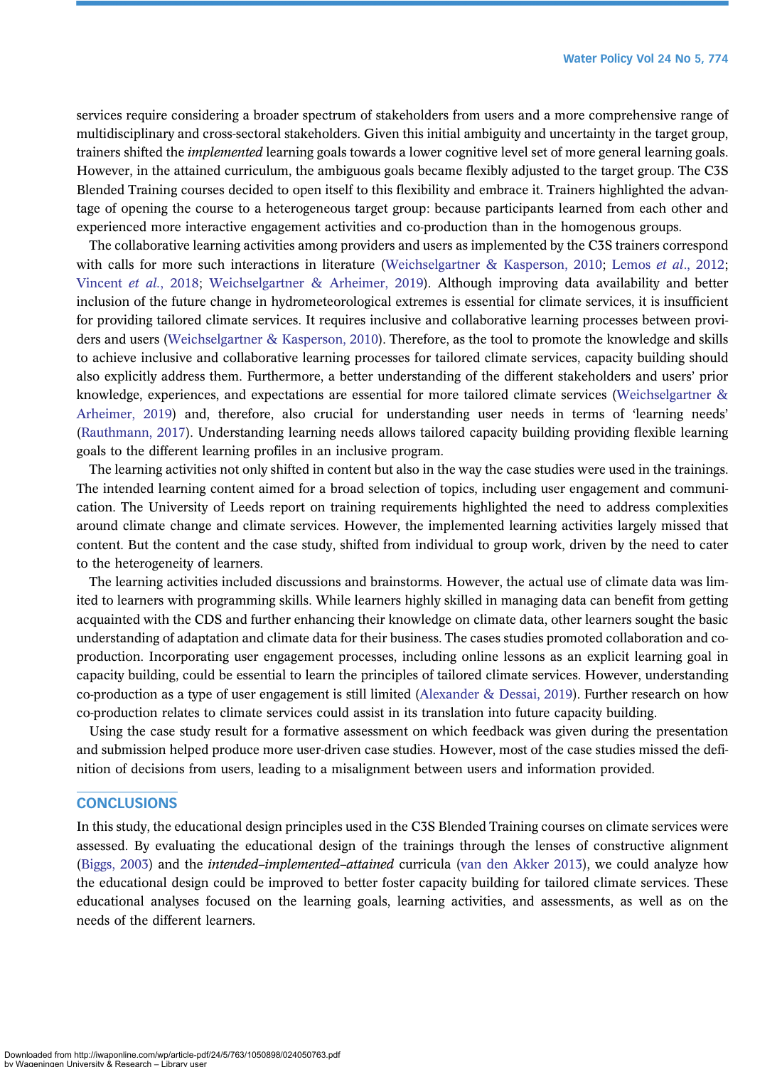services require considering a broader spectrum of stakeholders from users and a more comprehensive range of multidisciplinary and cross-sectoral stakeholders. Given this initial ambiguity and uncertainty in the target group, trainers shifted the *implemented* learning goals towards a lower cognitive level set of more general learning goals. However, in the attained curriculum, the ambiguous goals became flexibly adjusted to the target group. The C3S Blended Training courses decided to open itself to this flexibility and embrace it. Trainers highlighted the advantage of opening the course to a heterogeneous target group: because participants learned from each other and experienced more interactive engagement activities and co-production than in the homogenous groups.

The collaborative learning activities among providers and users as implemented by the C3S trainers correspond with calls for more such interactions in literature [\(Weichselgartner & Kasperson, 2010](#page-14-0); Lemos *et al.*, 2012; [Vincent](#page-14-0) et al., 2018; [Weichselgartner & Arheimer, 2019\)](#page-14-0). Although improving data availability and better inclusion of the future change in hydrometeorological extremes is essential for climate services, it is insufficient for providing tailored climate services. It requires inclusive and collaborative learning processes between providers and users ([Weichselgartner & Kasperson, 2010](#page-14-0)). Therefore, as the tool to promote the knowledge and skills to achieve inclusive and collaborative learning processes for tailored climate services, capacity building should also explicitly address them. Furthermore, a better understanding of the different stakeholders and users' prior knowledge, experiences, and expectations are essential for more tailored climate services [\(Weichselgartner &](#page-14-0) [Arheimer, 2019\)](#page-14-0) and, therefore, also crucial for understanding user needs in terms of 'learning needs' [\(Rauthmann, 2017](#page-13-0)). Understanding learning needs allows tailored capacity building providing flexible learning goals to the different learning profiles in an inclusive program.

The learning activities not only shifted in content but also in the way the case studies were used in the trainings. The intended learning content aimed for a broad selection of topics, including user engagement and communication. The University of Leeds report on training requirements highlighted the need to address complexities around climate change and climate services. However, the implemented learning activities largely missed that content. But the content and the case study, shifted from individual to group work, driven by the need to cater to the heterogeneity of learners.

The learning activities included discussions and brainstorms. However, the actual use of climate data was limited to learners with programming skills. While learners highly skilled in managing data can benefit from getting acquainted with the CDS and further enhancing their knowledge on climate data, other learners sought the basic understanding of adaptation and climate data for their business. The cases studies promoted collaboration and coproduction. Incorporating user engagement processes, including online lessons as an explicit learning goal in capacity building, could be essential to learn the principles of tailored climate services. However, understanding co-production as a type of user engagement is still limited [\(Alexander & Dessai, 2019\)](#page-13-0). Further research on how co-production relates to climate services could assist in its translation into future capacity building.

Using the case study result for a formative assessment on which feedback was given during the presentation and submission helped produce more user-driven case studies. However, most of the case studies missed the definition of decisions from users, leading to a misalignment between users and information provided.

## **CONCLUSIONS**

In this study, the educational design principles used in the C3S Blended Training courses on climate services were assessed. By evaluating the educational design of the trainings through the lenses of constructive alignment [\(Biggs, 2003\)](#page-13-0) and the *intended–implemented–attained* curricula ([van den Akker 2013\)](#page-14-0), we could analyze how the educational design could be improved to better foster capacity building for tailored climate services. These educational analyses focused on the learning goals, learning activities, and assessments, as well as on the needs of the different learners.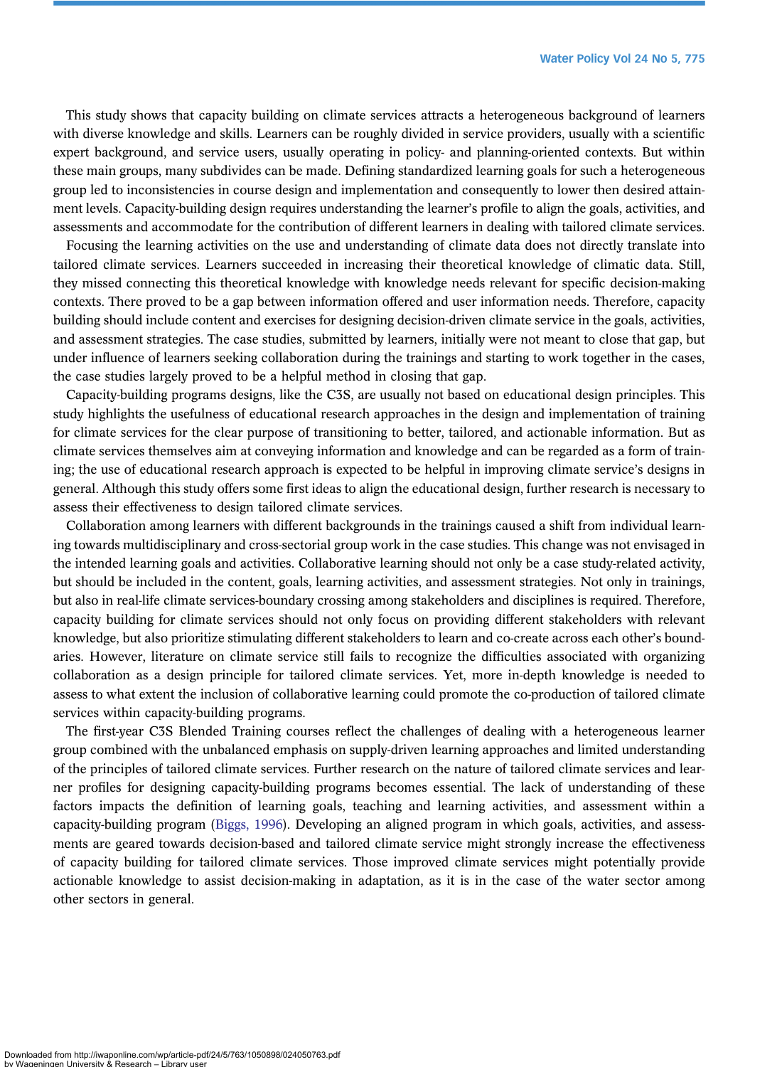This study shows that capacity building on climate services attracts a heterogeneous background of learners with diverse knowledge and skills. Learners can be roughly divided in service providers, usually with a scientific expert background, and service users, usually operating in policy- and planning-oriented contexts. But within these main groups, many subdivides can be made. Defining standardized learning goals for such a heterogeneous group led to inconsistencies in course design and implementation and consequently to lower then desired attainment levels. Capacity-building design requires understanding the learner's profile to align the goals, activities, and assessments and accommodate for the contribution of different learners in dealing with tailored climate services.

Focusing the learning activities on the use and understanding of climate data does not directly translate into tailored climate services. Learners succeeded in increasing their theoretical knowledge of climatic data. Still, they missed connecting this theoretical knowledge with knowledge needs relevant for specific decision-making contexts. There proved to be a gap between information offered and user information needs. Therefore, capacity building should include content and exercises for designing decision-driven climate service in the goals, activities, and assessment strategies. The case studies, submitted by learners, initially were not meant to close that gap, but under influence of learners seeking collaboration during the trainings and starting to work together in the cases, the case studies largely proved to be a helpful method in closing that gap.

Capacity-building programs designs, like the C3S, are usually not based on educational design principles. This study highlights the usefulness of educational research approaches in the design and implementation of training for climate services for the clear purpose of transitioning to better, tailored, and actionable information. But as climate services themselves aim at conveying information and knowledge and can be regarded as a form of training; the use of educational research approach is expected to be helpful in improving climate service's designs in general. Although this study offers some first ideas to align the educational design, further research is necessary to assess their effectiveness to design tailored climate services.

Collaboration among learners with different backgrounds in the trainings caused a shift from individual learning towards multidisciplinary and cross-sectorial group work in the case studies. This change was not envisaged in the intended learning goals and activities. Collaborative learning should not only be a case study-related activity, but should be included in the content, goals, learning activities, and assessment strategies. Not only in trainings, but also in real-life climate services-boundary crossing among stakeholders and disciplines is required. Therefore, capacity building for climate services should not only focus on providing different stakeholders with relevant knowledge, but also prioritize stimulating different stakeholders to learn and co-create across each other's boundaries. However, literature on climate service still fails to recognize the difficulties associated with organizing collaboration as a design principle for tailored climate services. Yet, more in-depth knowledge is needed to assess to what extent the inclusion of collaborative learning could promote the co-production of tailored climate services within capacity-building programs.

The first-year C3S Blended Training courses reflect the challenges of dealing with a heterogeneous learner group combined with the unbalanced emphasis on supply-driven learning approaches and limited understanding of the principles of tailored climate services. Further research on the nature of tailored climate services and learner profiles for designing capacity-building programs becomes essential. The lack of understanding of these factors impacts the definition of learning goals, teaching and learning activities, and assessment within a capacity-building program ([Biggs, 1996\)](#page-13-0). Developing an aligned program in which goals, activities, and assessments are geared towards decision-based and tailored climate service might strongly increase the effectiveness of capacity building for tailored climate services. Those improved climate services might potentially provide actionable knowledge to assist decision-making in adaptation, as it is in the case of the water sector among other sectors in general.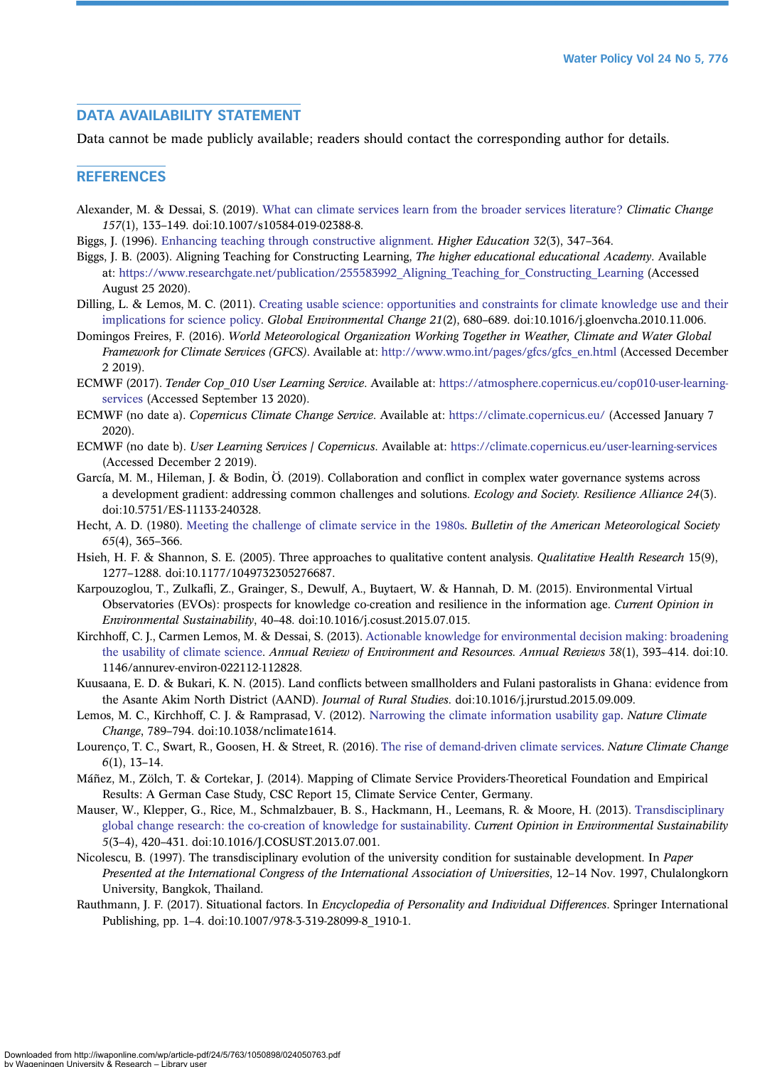# <span id="page-13-0"></span>DATA AVAILABILITY STATEMENT

Data cannot be made publicly available; readers should contact the corresponding author for details.

## **REFERENCES**

- Alexander, M. & Dessai, S. (2019). [What can climate services learn from the broader services literature?](http://dx.doi.org/10.1007/s10584-019-02388-8) Climatic Change 157(1), 133–149. doi:10.1007/s10584-019-02388-8.
- Biggs, J. (1996). [Enhancing teaching through constructive alignment](http://dx.doi.org/10.1007/BF00138871). Higher Education 32(3), 347–364.
- Biggs, J. B. (2003). Aligning Teaching for Constructing Learning, The higher educational educational Academy. Available at: https://www.researchgate.net/publication/255583992 Aligning Teaching for Constructing Learning (Accessed August 25 2020).
- Dilling, L. & Lemos, M. C. (2011). [Creating usable science: opportunities and constraints for climate knowledge use and their](http://dx.doi.org/10.1016/j.gloenvcha.2010.11.006) [implications for science policy.](http://dx.doi.org/10.1016/j.gloenvcha.2010.11.006) Global Environmental Change 21(2), 680–689. doi:10.1016/j.gloenvcha.2010.11.006.
- Domingos Freires, F. (2016). World Meteorological Organization Working Together in Weather, Climate and Water Global Framework for Climate Services (GFCS). Available at: [http://www.wmo.int/pages/gfcs/gfcs\\_en.html](http://www.wmo.int/pages/gfcs/gfcs_en.html) (Accessed December 2 2019).
- ECMWF (2017). Tender Cop\_010 User Learning Service. Available at: [https://atmosphere.copernicus.eu/cop010-user-learning](https://atmosphere.copernicus.eu/cop010-user-learning-services)[services](https://atmosphere.copernicus.eu/cop010-user-learning-services) (Accessed September 13 2020).
- ECMWF (no date a). Copernicus Climate Change Service. Available at: <https://climate.copernicus.eu/> (Accessed January 7 2020).
- ECMWF (no date b). User Learning Services | Copernicus. Available at: <https://climate.copernicus.eu/user-learning-services> (Accessed December 2 2019).
- García, M. M., Hileman, J. & Bodin, Ö. (2019). Collaboration and conflict in complex water governance systems across a development gradient: addressing common challenges and solutions. Ecology and Society. Resilience Alliance 24(3). doi:10.5751/ES-11133-240328.
- Hecht, A. D. (1980). [Meeting the challenge of climate service in the 1980s](http://dx.doi.org/10.1175/1520-0477(1984)065%3C0365:MTCOCS%3E2.0.CO;2). Bulletin of the American Meteorological Society 65(4), 365–366.
- Hsieh, H. F. & Shannon, S. E. (2005). Three approaches to qualitative content analysis. *Qualitative Health Research* 15(9), 1277–1288. doi:10.1177/1049732305276687.
- Karpouzoglou, T., Zulkafli, Z., Grainger, S., Dewulf, A., Buytaert, W. & Hannah, D. M. (2015). Environmental Virtual Observatories (EVOs): prospects for knowledge co-creation and resilience in the information age. Current Opinion in Environmental Sustainability, 40–48. doi:10.1016/j.cosust.2015.07.015.
- Kirchhoff, C. J., Carmen Lemos, M. & Dessai, S. (2013). [Actionable knowledge for environmental decision making: broadening](http://dx.doi.org/10.1146/annurev-environ-022112-112828) [the usability of climate science.](http://dx.doi.org/10.1146/annurev-environ-022112-112828) Annual Review of Environment and Resources. Annual Reviews 38(1), 393-414. doi:10. 1146/annurev-environ-022112-112828.
- Kuusaana, E. D. & Bukari, K. N. (2015). Land conflicts between smallholders and Fulani pastoralists in Ghana: evidence from the Asante Akim North District (AAND). Journal of Rural Studies. doi:10.1016/j.jrurstud.2015.09.009.
- Lemos, M. C., Kirchhoff, C. J. & Ramprasad, V. (2012). [Narrowing the climate information usability gap](http://dx.doi.org/10.1038/nclimate1614). Nature Climate Change, 789–794. doi:10.1038/nclimate1614.
- Lourenco, T. C., Swart, R., Goosen, H. & Street, R. (2016). [The rise of demand-driven climate services.](http://dx.doi.org/10.1038/nclimate2836) Nature Climate Change 6(1), 13–14.
- Máñez, M., Zölch, T. & Cortekar, J. (2014). Mapping of Climate Service Providers-Theoretical Foundation and Empirical Results: A German Case Study, CSC Report 15, Climate Service Center, Germany.
- Mauser, W., Klepper, G., Rice, M., Schmalzbauer, B. S., Hackmann, H., Leemans, R. & Moore, H. (2013). [Transdisciplinary](http://dx.doi.org/10.1016/j.cosust.2013.07.001) [global change research: the co-creation of knowledge for sustainability.](http://dx.doi.org/10.1016/j.cosust.2013.07.001) Current Opinion in Environmental Sustainability 5(3–4), 420–431. doi:10.1016/J.COSUST.2013.07.001.
- Nicolescu, B. (1997). The transdisciplinary evolution of the university condition for sustainable development. In Paper Presented at the International Congress of the International Association of Universities, 12–14 Nov. 1997, Chulalongkorn University, Bangkok, Thailand.
- Rauthmann, J. F. (2017). Situational factors. In Encyclopedia of Personality and Individual Differences. Springer International Publishing, pp. 1–4. doi:10.1007/978-3-319-28099-8\_1910-1.